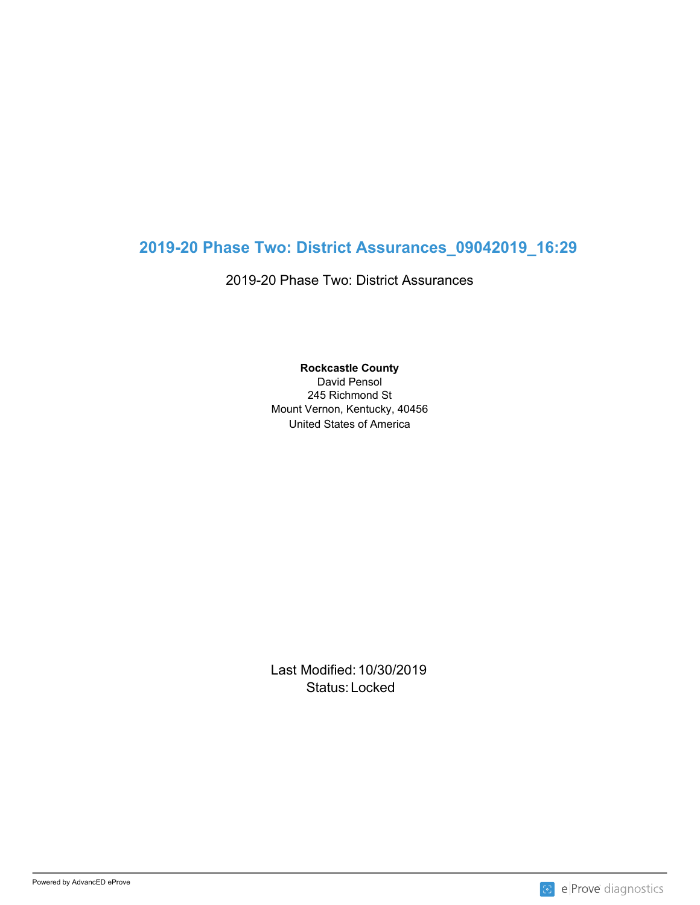## **2019-20 Phase Two: District Assurances\_09042019\_16:29**

2019-20 Phase Two: District Assurances

**Rockcastle County** David Pensol 245 Richmond St Mount Vernon, Kentucky, 40456

United States of America

Last Modified: 10/30/2019 Status: Locked and the status of the status of the status of the status of the status of the status of the status of the status of the status of the status of the status of the status of the status of the status of the sta

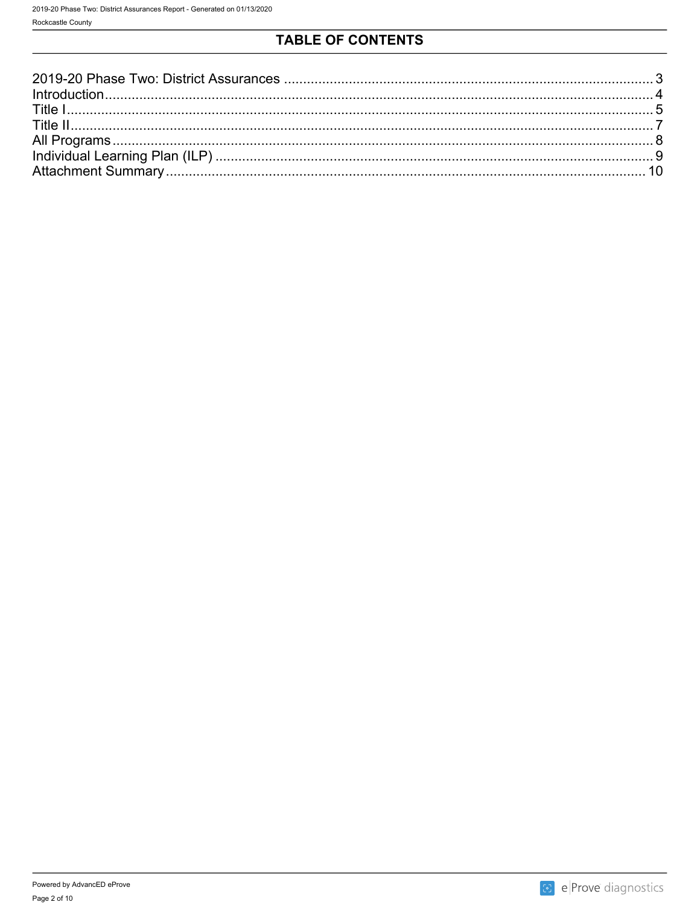## TABLE OF CONTENTS



8 e Prove diagnostics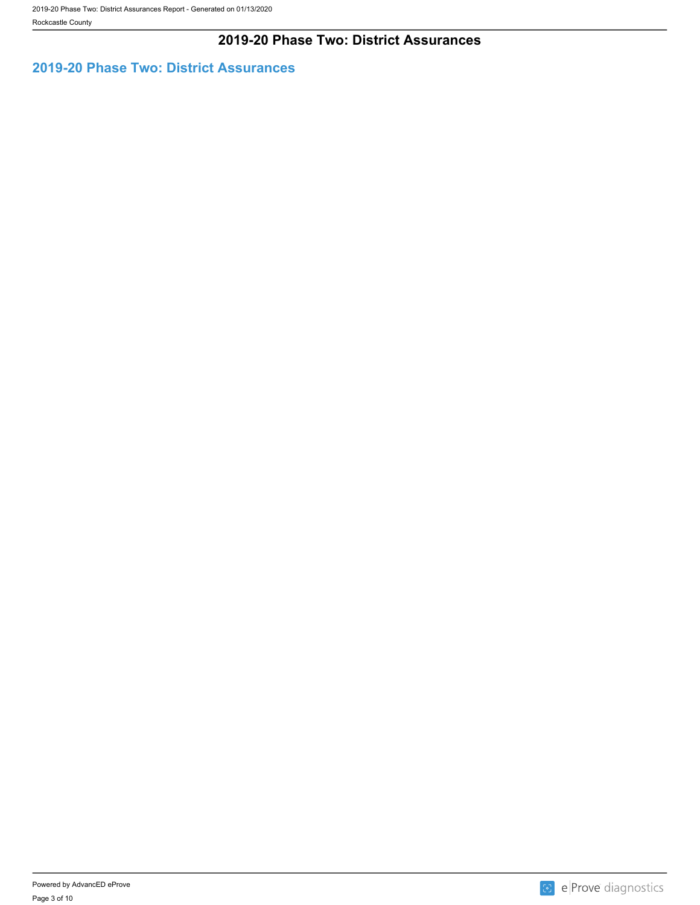### **2019-20 Phase Two: District Assurances**

### <span id="page-2-0"></span>**2019-20 Phase Two: District Assurances**

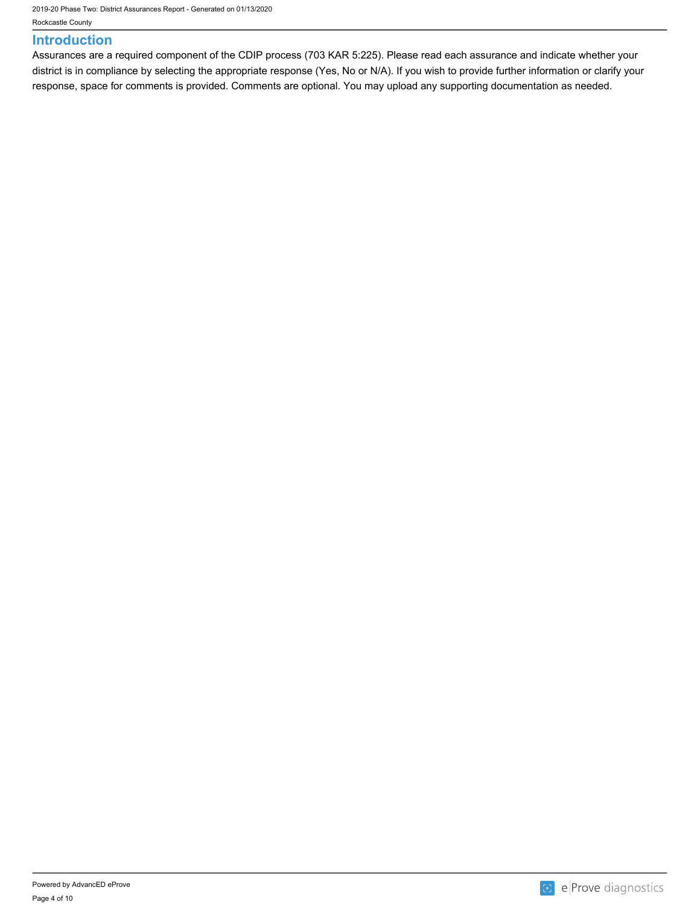2019-20 Phase Two: District Assurances Report - Generated on 01/13/2020

Rockcastle County

#### <span id="page-3-0"></span>**Introduction**

Assurances are a required component of the CDIP process (703 KAR 5:225). Please read each assurance and indicate whether your district is in compliance by selecting the appropriate response (Yes, No or N/A). If you wish to provide further information or clarify your response, space for comments is provided. Comments are optional. You may upload any supporting documentation as needed.

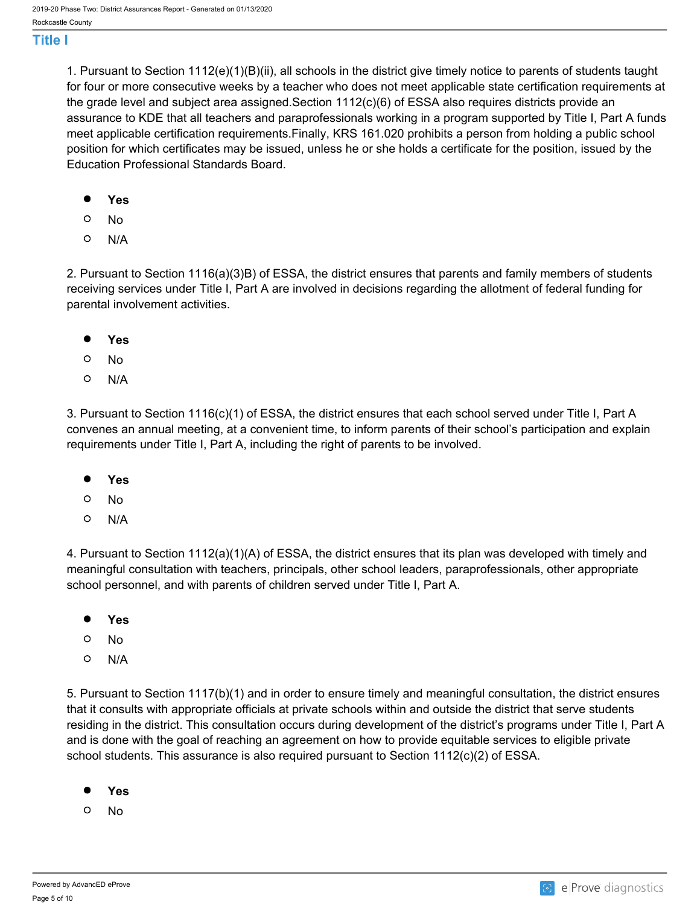#### <span id="page-4-0"></span>**Title I**

1. Pursuant to Section 1112(e)(1)(B)(ii), all schools in the district give timely notice to parents of students taught for four or more consecutive weeks by a teacher who does not meet applicable state certification requirements at the grade level and subject area assigned.Section 1112(c)(6) of ESSA also requires districts provide an assurance to KDE that all teachers and paraprofessionals working in a program supported by Title I, Part A funds meet applicable certification requirements.Finally, KRS 161.020 prohibits a person from holding a public school position for which certificates may be issued, unless he or she holds a certificate for the position, issued by the Education Professional Standards Board.

- $\bullet$ **Yes**
- $\circ$ No
- $\circ$ N/A

2. Pursuant to Section 1116(a)(3)B) of ESSA, the district ensures that parents and family members of students receiving services under Title I, Part A are involved in decisions regarding the allotment of federal funding for parental involvement activities.

- **Yes**
- $\circ$ No
- $\circ$ N/A

3. Pursuant to Section 1116(c)(1) of ESSA, the district ensures that each school served under Title I, Part A convenes an annual meeting, at a convenient time, to inform parents of their school's participation and explain requirements under Title I, Part A, including the right of parents to be involved.

- $\bullet$ **Yes**
- $\circ$ No
- $\circ$ N/A

4. Pursuant to Section 1112(a)(1)(A) of ESSA, the district ensures that its plan was developed with timely and meaningful consultation with teachers, principals, other school leaders, paraprofessionals, other appropriate school personnel, and with parents of children served under Title I, Part A.

- $\bullet$ **Yes**
- $\circ$ No
- $\circ$ N/A

5. Pursuant to Section 1117(b)(1) and in order to ensure timely and meaningful consultation, the district ensures that it consults with appropriate officials at private schools within and outside the district that serve students residing in the district. This consultation occurs during development of the district's programs under Title I, Part A and is done with the goal of reaching an agreement on how to provide equitable services to eligible private school students. This assurance is also required pursuant to Section 1112(c)(2) of ESSA.

- $\bullet$ **Yes**
- $\Omega$ No

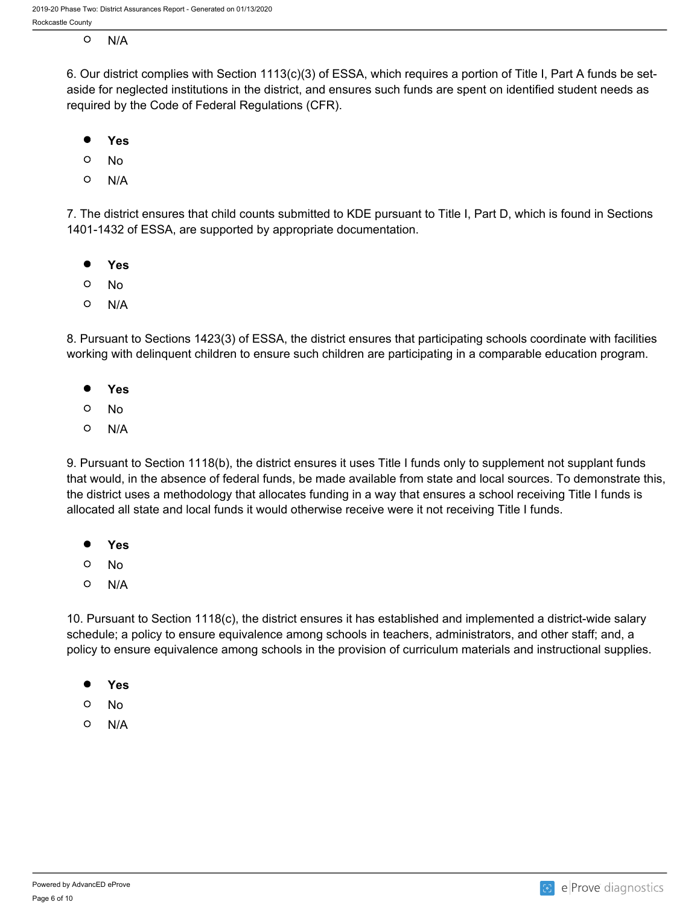- $\circ$ 
	- N/A

6. Our district complies with Section 1113(c)(3) of ESSA, which requires a portion of Title I, Part A funds be setaside for neglected institutions in the district, and ensures such funds are spent on identified student needs as required by the Code of Federal Regulations (CFR).

- $\bullet$ **Yes**
- $\circ$ No
- $\Omega$ N/A

7. The district ensures that child counts submitted to KDE pursuant to Title I, Part D, which is found in Sections 1401-1432 of ESSA, are supported by appropriate documentation.

- $\bullet$ **Yes**
- $\circ$ No
- O N/A

8. Pursuant to Sections 1423(3) of ESSA, the district ensures that participating schools coordinate with facilities working with delinquent children to ensure such children are participating in a comparable education program.

- **Yes**
- $\circ$ No
- $\circ$ N/A

9. Pursuant to Section 1118(b), the district ensures it uses Title I funds only to supplement not supplant funds that would, in the absence of federal funds, be made available from state and local sources. To demonstrate this, the district uses a methodology that allocates funding in a way that ensures a school receiving Title I funds is allocated all state and local funds it would otherwise receive were it not receiving Title I funds.

- $\bullet$ **Yes**
- $\circ$ No
- $\Omega$ N/A

10. Pursuant to Section 1118(c), the district ensures it has established and implemented a district-wide salary schedule; a policy to ensure equivalence among schools in teachers, administrators, and other staff; and, a policy to ensure equivalence among schools in the provision of curriculum materials and instructional supplies.

- $\bullet$ **Yes**
- $\circ$ No
- $\circ$ N/A

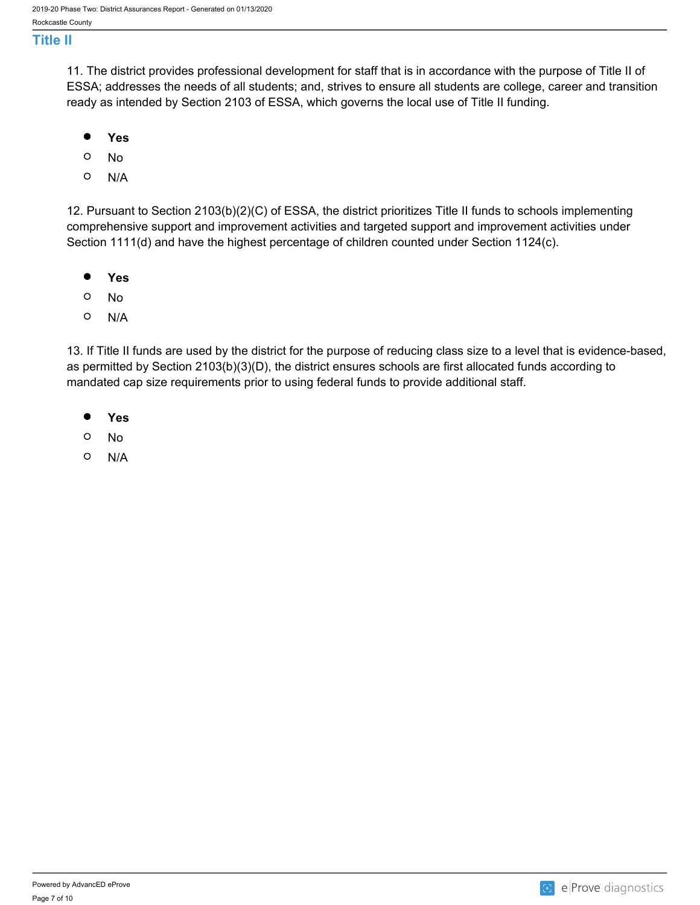#### <span id="page-6-0"></span>**Title II**

11. The district provides professional development for staff that is in accordance with the purpose of Title II of ESSA; addresses the needs of all students; and, strives to ensure all students are college, career and transition ready as intended by Section 2103 of ESSA, which governs the local use of Title II funding.

- $\bullet$ **Yes**
- $\circ$ No
- $\circ$ N/A

12. Pursuant to Section 2103(b)(2)(C) of ESSA, the district prioritizes Title II funds to schools implementing comprehensive support and improvement activities and targeted support and improvement activities under Section 1111(d) and have the highest percentage of children counted under Section 1124(c).

- $\bullet$ **Yes**
- $\circ$ No
- $\circ$ N/A

13. If Title II funds are used by the district for the purpose of reducing class size to a level that is evidence-based, as permitted by Section 2103(b)(3)(D), the district ensures schools are first allocated funds according to mandated cap size requirements prior to using federal funds to provide additional staff.

- $\bullet$ **Yes**
- $\circ$ No
- $\circ$ N/A

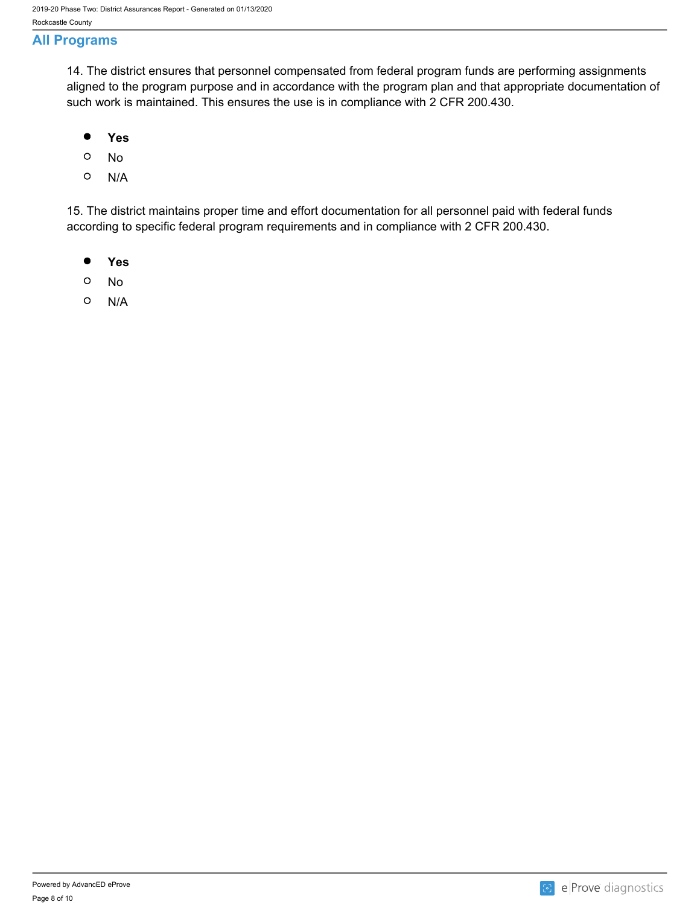### <span id="page-7-0"></span>**All Programs**

14. The district ensures that personnel compensated from federal program funds are performing assignments aligned to the program purpose and in accordance with the program plan and that appropriate documentation of such work is maintained. This ensures the use is in compliance with 2 CFR 200.430.

- $\bullet$ **Yes**
- $\circ$ No
- $\circ$ N/A

15. The district maintains proper time and effort documentation for all personnel paid with federal funds according to specific federal program requirements and in compliance with 2 CFR 200.430.

- $\bullet$ **Yes**
- $\circ$ No
- $\circ$ N/A

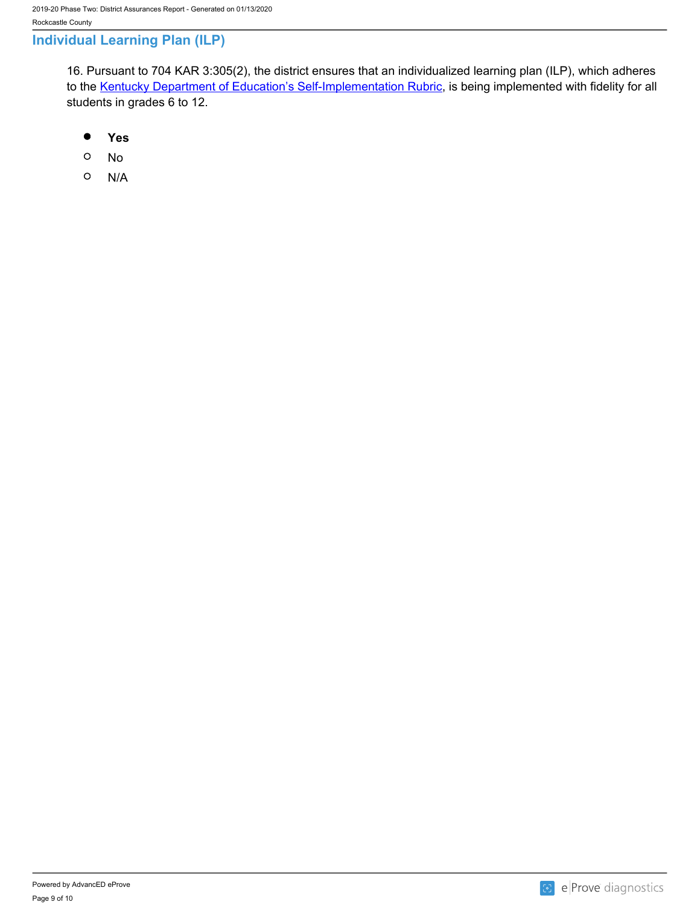### <span id="page-8-0"></span>**Individual Learning Plan (ILP)**

16. Pursuant to 704 KAR 3:305(2), the district ensures that an individualized learning plan (ILP), which adheres to the [Kentucky Department of Education's Self-Implementation Rubric,](https://education.ky.gov/educational/compschcouns/ILP/Documents/ILP_Self-Implemetation_Framework.pdf) is being implemented with fidelity for all students in grades 6 to 12.

- $\bullet$ **Yes**
- $\circ$ No
- $\circ$ N/A